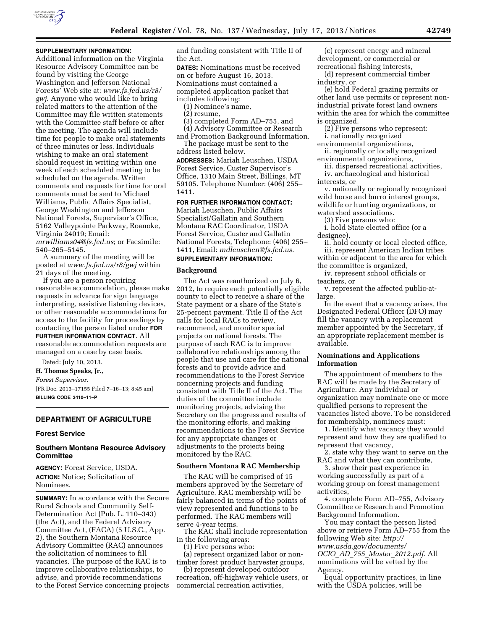

## **SUPPLEMENTARY INFORMATION:**

Additional information on the Virginia Resource Advisory Committee can be found by visiting the George Washington and Jefferson National Forests' Web site at: *[www.fs.fed.us/r8/](http://www.fs.fed.us/r8/gwj)  [gwj](http://www.fs.fed.us/r8/gwj)*. Anyone who would like to bring related matters to the attention of the Committee may file written statements with the Committee staff before or after the meeting. The agenda will include time for people to make oral statements of three minutes or less. Individuals wishing to make an oral statement should request in writing within one week of each scheduled meeting to be scheduled on the agenda. Written comments and requests for time for oral comments must be sent to Michael Williams, Public Affairs Specialist, George Washington and Jefferson National Forests, Supervisor's Office, 5162 Valleypointe Parkway, Roanoke, Virginia 24019; Email: *[mrwilliams04@fs.fed.us](mailto:mrwilliams04@fs.fed.us)*; or Facsimile:

540–265–5145.

A summary of the meeting will be posted at *[www.fs.fed.us/r8/gwj](http://www.fs.fed.us/r8/gwj)* within 21 days of the meeting.

If you are a person requiring reasonable accommodation, please make requests in advance for sign language interpreting, assistive listening devices, or other reasonable accommodations for access to the facility for proceedings by contacting the person listed under **FOR FURTHER INFORMATION CONTACT**. All reasonable accommodation requests are managed on a case by case basis.

Dated: July 10, 2013.

**H. Thomas Speaks, Jr.,** 

*Forest Supervisor.* 

[FR Doc. 2013–17155 Filed 7–16–13; 8:45 am] **BILLING CODE 3410–11–P** 

# **DEPARTMENT OF AGRICULTURE**

### **Forest Service**

## **Southern Montana Resource Advisory Committee**

**AGENCY:** Forest Service, USDA. **ACTION:** Notice; Solicitation of Nominees.

**SUMMARY:** In accordance with the Secure Rural Schools and Community Self-Determination Act (Pub. L. 110–343) (the Act), and the Federal Advisory Committee Act, (FACA) (5 U.S.C., App. 2), the Southern Montana Resource Advisory Committee (RAC) announces the solicitation of nominees to fill vacancies. The purpose of the RAC is to improve collaborative relationships, to advise, and provide recommendations to the Forest Service concerning projects and funding consistent with Title II of the Act.

**DATES:** Nominations must be received on or before August 16, 2013. Nominations must contained a completed application packet that includes following:

(1) Nominee's name,

(2) resume,

(3) completed Form AD–755, and

(4) Advisory Committee or Research and Promotion Background Information.

The package must be sent to the address listed below.

**ADDRESSES:** Mariah Leuschen, USDA Forest Service, Custer Supervisor's Office, 1310 Main Street, Billings, MT 59105. Telephone Number: (406) 255– 1411.

**FOR FURTHER INFORMATION CONTACT:** 

Mariah Leuschen, Public Affairs Specialist/Gallatin and Southern Montana RAC Coordinator, USDA Forest Service, Custer and Gallatin National Forests, Telephone: (406) 255– 1411, Email: *[mdleuschen@fs.fed.us.](mailto:mdleuschen@fs.fed.us)* 

# **SUPPLEMENTARY INFORMATION:**

### **Background**

The Act was reauthorized on July 6, 2012, to require each potentially eligible county to elect to receive a share of the State payment or a share of the State's 25-percent payment. Title II of the Act calls for local RACs to review, recommend, and monitor special projects on national forests. The purpose of each RAC is to improve collaborative relationships among the people that use and care for the national forests and to provide advice and recommendations to the Forest Service concerning projects and funding consistent with Title II of the Act. The duties of the committee include monitoring projects, advising the Secretary on the progress and results of the monitoring efforts, and making recommendations to the Forest Service for any appropriate changes or adjustments to the projects being monitored by the RAC.

## **Southern Montana RAC Membership**

The RAC will be comprised of 15 members approved by the Secretary of Agriculture. RAC membership will be fairly balanced in terms of the points of view represented and functions to be performed. The RAC members will serve 4-year terms.

The RAC shall include representation in the following areas:

(1) Five persons who:

(a) represent organized labor or nontimber forest product harvester groups,

(b) represent developed outdoor recreation, off-highway vehicle users, or commercial recreation activities,

(c) represent energy and mineral development, or commercial or recreational fishing interests,

(d) represent commercial timber industry, or

(e) hold Federal grazing permits or other land use permits or represent nonindustrial private forest land owners within the area for which the committee is organized.

(2) Five persons who represent:

i. nationally recognized

environmental organizations, ii. regionally or locally recognized

environmental organizations, iii. dispersed recreational activities, iv. archaeological and historical

interests, or

v. nationally or regionally recognized wild horse and burro interest groups, wildlife or hunting organizations, or watershed associations.

(3) Five persons who:

i. hold State elected office (or a designee),

ii. hold county or local elected office, iii. represent American Indian tribes within or adjacent to the area for which

the committee is organized, iv. represent school officials or teachers, or

v. represent the affected public-atlarge.

In the event that a vacancy arises, the Designated Federal Officer (DFO) may fill the vacancy with a replacement member appointed by the Secretary, if an appropriate replacement member is available.

## **Nominations and Applications Information**

The appointment of members to the RAC will be made by the Secretary of Agriculture. Any individual or organization may nominate one or more qualified persons to represent the vacancies listed above. To be considered for membership, nominees must:

1. Identify what vacancy they would represent and how they are qualified to represent that vacancy,

2. state why they want to serve on the RAC and what they can contribute,

3. show their past experience in working successfully as part of a working group on forest management activities,

4. complete Form AD–755, Advisory Committee or Research and Promotion Background Information.

You may contact the person listed above or retrieve Form AD–755 from the following Web site: *[http://](http://www.usda.gov/documents/OCIO_AD_755_Master_2012.pdf)  [www.usda.gov/documents/](http://www.usda.gov/documents/OCIO_AD_755_Master_2012.pdf) OCIO*\_*AD*\_*755*\_*Master*\_*[2012.pdf.](http://www.usda.gov/documents/OCIO_AD_755_Master_2012.pdf)* All nominations will be vetted by the Agency.

Equal opportunity practices, in line with the USDA policies, will be